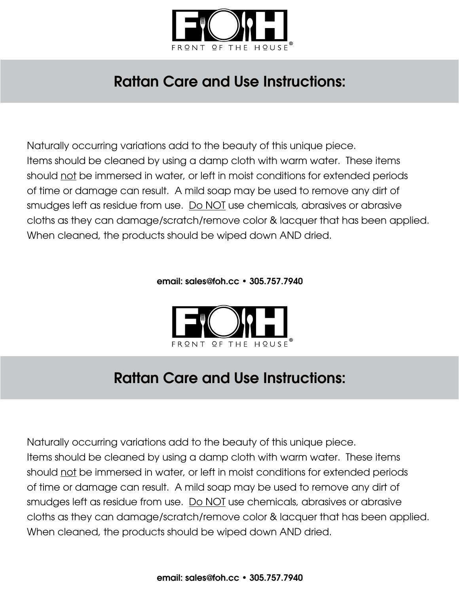

## Rattan Care and Use Instructions:

Naturally occurring variations add to the beauty of this unique piece. Items should be cleaned by using a damp cloth with warm water. These items should not be immersed in water, or left in moist conditions for extended periods of time or damage can result. A mild soap may be used to remove any dirt of smudges left as residue from use. Do NOT use chemicals, abrasives or abrasive cloths as they can damage/scratch/remove color & lacquer that has been applied. When cleaned, the products should be wiped down AND dried.

email: sales@foh.cc • 305.757.7940



## Rattan Care and Use Instructions:

Naturally occurring variations add to the beauty of this unique piece. Items should be cleaned by using a damp cloth with warm water. These items should not be immersed in water, or left in moist conditions for extended periods of time or damage can result. A mild soap may be used to remove any dirt of smudges left as residue from use. Do NOT use chemicals, abrasives or abrasive cloths as they can damage/scratch/remove color & lacquer that has been applied. When cleaned, the products should be wiped down AND dried.